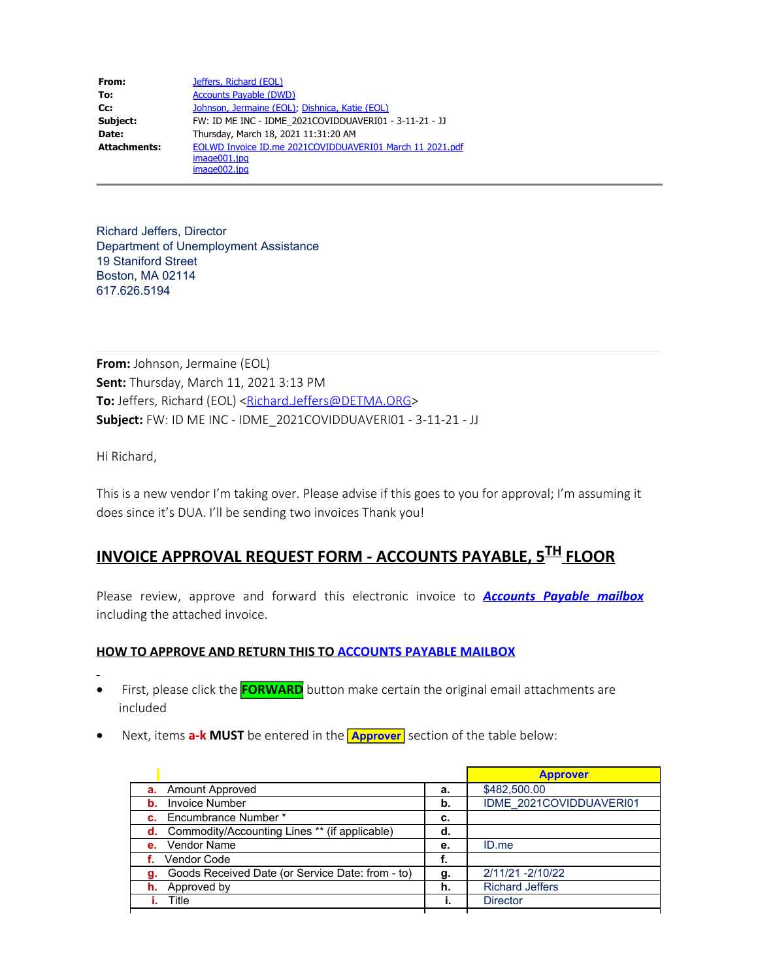| From:               | Jeffers, Richard (EOL)                                   |
|---------------------|----------------------------------------------------------|
| To:                 | <b>Accounts Payable (DWD)</b>                            |
| $Cc$ :              | Johnson, Jermaine (EOL), Dishnica, Katie (EOL)           |
| Subject:            | FW: ID ME INC - IDME 2021COVIDDUAVERI01 - 3-11-21 - JJ   |
| Date:               | Thursday, March 18, 2021 11:31:20 AM                     |
| <b>Attachments:</b> | EOLWD Invoice ID.me 2021COVIDDUAVERI01 March 11 2021.pdf |
|                     | image001.jpg                                             |
|                     | image002.jpg                                             |

Richard Jeffers, Director Department of Unemployment Assistance 19 Staniford Street Boston, MA 02114 617.626.5194

**From:** Johnson, Jermaine (EOL) **Sent:** Thursday, March 11, 2021 3:13 PM To: Jeffers, Richard (EOL) [<Richard.Jeffers@DETMA.ORG](mailto:Richard.Jeffers@DETMA.ORG)> **Subject:** FW: ID ME INC - IDME\_2021COVIDDUAVERI01 - 3-11-21 - JJ

Hi Richard,

This is a new vendor I'm taking over. Please advise if this goes to you for approval; I'm assuming it does since it's DUA. I'll be sending two invoices Thank you!

## **INVOICE APPROVAL REQUEST FORM - ACCOUNTS PAYABLE, 5TH FLOOR**

Please review, approve and forward this electronic invoice to *Accounts Payable mailbox* including the attached invoice.

## **HOW TO APPROVE AND RETURN THIS TO ACCOUNTS PAYABLE MAILBOX**

- · First, please click the **FORWARD** button make certain the original email attachments are included
- · Next, items **a-k MUST** be entered in the **Approver** section of the table below:

|                                                         | <b>Approver</b> |                         |
|---------------------------------------------------------|-----------------|-------------------------|
| <b>a.</b> Amount Approved                               | а.              | \$482,500.00            |
| <b>Invoice Number</b><br>b.                             | b.              | IDME 2021COVIDDUAVERI01 |
| <b>c.</b> Encumbrance Number *                          |                 |                         |
| <b>d.</b> Commodity/Accounting Lines ** (if applicable) | d.              |                         |
| e. Vendor Name                                          | е.              | ID.me                   |
| <b>Vendor Code</b>                                      |                 |                         |
| Goods Received Date (or Service Date: from - to)        | g.              | 2/11/21 -2/10/22        |
| <b>h.</b> Approved by                                   | h.              | <b>Richard Jeffers</b>  |
| Title                                                   |                 | <b>Director</b>         |
|                                                         |                 |                         |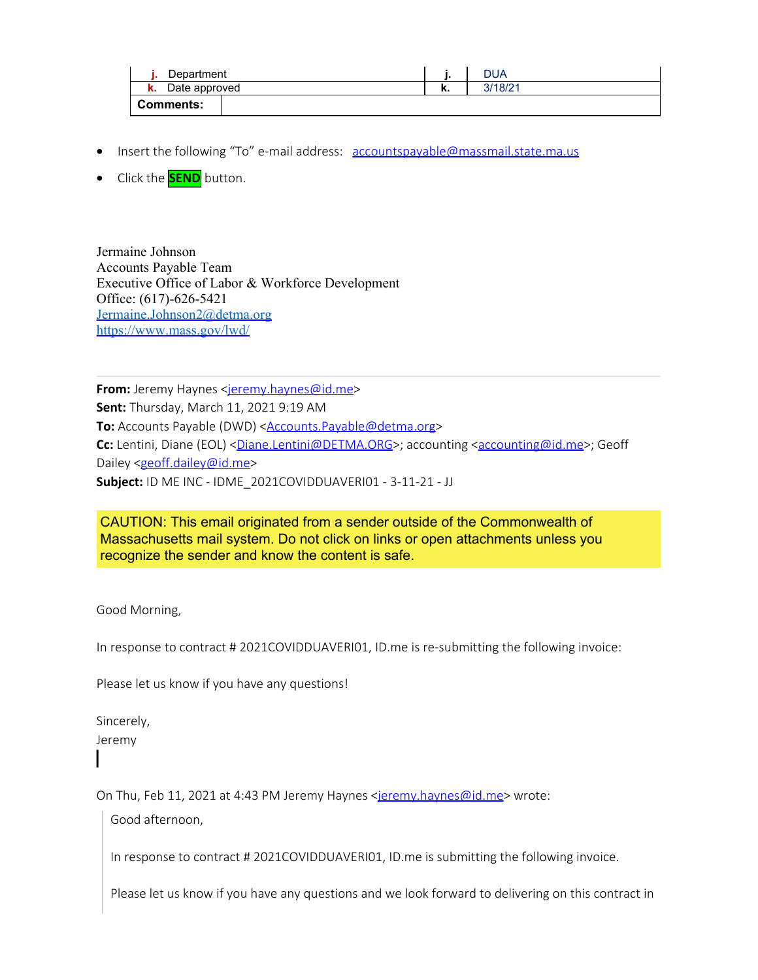| Department          |  |    | DUA     |
|---------------------|--|----|---------|
| Date approved<br>ĸ. |  | n. | 3/18/21 |
| Comments:           |  |    |         |

- Insert the following "To" e-mail address: [accountspayable@massmail.state.ma.us](mailto:accountspayable@massmail.state.ma.us)
- · Click the **SEND** button.

Jermaine Johnson Accounts Payable Team Executive Office of Labor & Workforce Development Office: (617)-626-5421 [Jermaine.Johnson2@detma.org](mailto:Jermaine.Johnson2@detma.org) <https://www.mass.gov/lwd/>

**From:** Jeremy Haynes [<jeremy.haynes@id.me](mailto:jeremy.haynes@id.me)> **Sent:** Thursday, March 11, 2021 9:19 AM **To:** Accounts Payable (DWD) <**Accounts.Payable@detma.org> Cc:** Lentini, Diane (EOL) <<u>Diane.Lentini@DETMA.ORG</u>>; accounting [<accounting@id.me](mailto:accounting@id.me)>; Geoff Dailey [<geoff.dailey@id.me](mailto:geoff.dailey@id.me)> **Subject:** ID ME INC - IDME\_2021COVIDDUAVERI01 - 3-11-21 - JJ

CAUTION: This email originated from a sender outside of the Commonwealth of Massachusetts mail system. Do not click on links or open attachments unless you recognize the sender and know the content is safe.

Good Morning,

In response to contract # 2021COVIDDUAVERI01, ID.me is re-submitting the following invoice:

Please let us know if you have any questions!

Sincerely, Jeremy

On Thu, Feb 11, 2021 at 4:43 PM Jeremy Haynes [<jeremy.haynes@id.me](mailto:jeremy.haynes@id.me)> wrote:

Good afternoon,

In response to contract # 2021COVIDDUAVERI01, ID.me is submitting the following invoice.

Please let us know if you have any questions and we look forward to delivering on this contract in